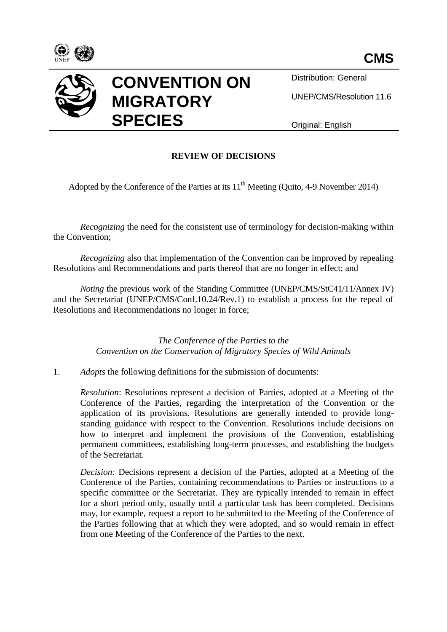



Distribution: General

UNEP/CMS/Resolution 11.6

Original: English

## **REVIEW OF DECISIONS**

Adopted by the Conference of the Parties at its  $11<sup>th</sup>$  Meeting (Quito, 4-9 November 2014)

*Recognizing* the need for the consistent use of terminology for decision-making within the Convention;

*Recognizing* also that implementation of the Convention can be improved by repealing Resolutions and Recommendations and parts thereof that are no longer in effect; and

*Noting the previous work of the Standing Committee (UNEP/CMS/StC41/11/Annex IV)* and the Secretariat (UNEP/CMS/Conf.10.24/Rev.1) to establish a process for the repeal of Resolutions and Recommendations no longer in force;

> *The Conference of the Parties to the Convention on the Conservation of Migratory Species of Wild Animals*

1. *Adopts* the following definitions for the submission of documents:

*Resolution*: Resolutions represent a decision of Parties, adopted at a Meeting of the Conference of the Parties, regarding the interpretation of the Convention or the application of its provisions. Resolutions are generally intended to provide longstanding guidance with respect to the Convention. Resolutions include decisions on how to interpret and implement the provisions of the Convention, establishing permanent committees, establishing long-term processes, and establishing the budgets of the Secretariat.

*Decision:* Decisions represent a decision of the Parties, adopted at a Meeting of the Conference of the Parties, containing recommendations to Parties or instructions to a specific committee or the Secretariat. They are typically intended to remain in effect for a short period only, usually until a particular task has been completed. Decisions may, for example, request a report to be submitted to the Meeting of the Conference of the Parties following that at which they were adopted, and so would remain in effect from one Meeting of the Conference of the Parties to the next.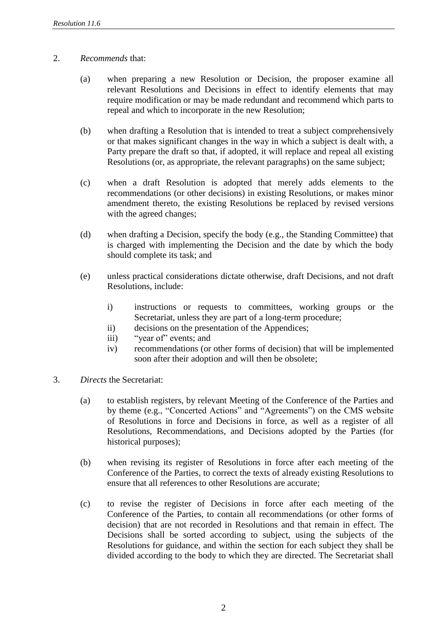## 2. *Recommends* that:

- (a) when preparing a new Resolution or Decision, the proposer examine all relevant Resolutions and Decisions in effect to identify elements that may require modification or may be made redundant and recommend which parts to repeal and which to incorporate in the new Resolution;
- (b) when drafting a Resolution that is intended to treat a subject comprehensively or that makes significant changes in the way in which a subject is dealt with, a Party prepare the draft so that, if adopted, it will replace and repeal all existing Resolutions (or, as appropriate, the relevant paragraphs) on the same subject;
- (c) when a draft Resolution is adopted that merely adds elements to the recommendations (or other decisions) in existing Resolutions, or makes minor amendment thereto, the existing Resolutions be replaced by revised versions with the agreed changes;
- (d) when drafting a Decision, specify the body (e.g., the Standing Committee) that is charged with implementing the Decision and the date by which the body should complete its task; and
- (e) unless practical considerations dictate otherwise, draft Decisions, and not draft Resolutions, include:
	- i) instructions or requests to committees, working groups or the Secretariat, unless they are part of a long-term procedure;
	- ii) decisions on the presentation of the Appendices;
	- iii) "year of" events; and
	- iv) recommendations (or other forms of decision) that will be implemented soon after their adoption and will then be obsolete;
- 3. *Directs* the Secretariat:
	- (a) to establish registers, by relevant Meeting of the Conference of the Parties and by theme (e.g., "Concerted Actions" and "Agreements") on the CMS website of Resolutions in force and Decisions in force, as well as a register of all Resolutions, Recommendations, and Decisions adopted by the Parties (for historical purposes);
	- (b) when revising its register of Resolutions in force after each meeting of the Conference of the Parties, to correct the texts of already existing Resolutions to ensure that all references to other Resolutions are accurate;
	- (c) to revise the register of Decisions in force after each meeting of the Conference of the Parties, to contain all recommendations (or other forms of decision) that are not recorded in Resolutions and that remain in effect. The Decisions shall be sorted according to subject, using the subjects of the Resolutions for guidance, and within the section for each subject they shall be divided according to the body to which they are directed. The Secretariat shall